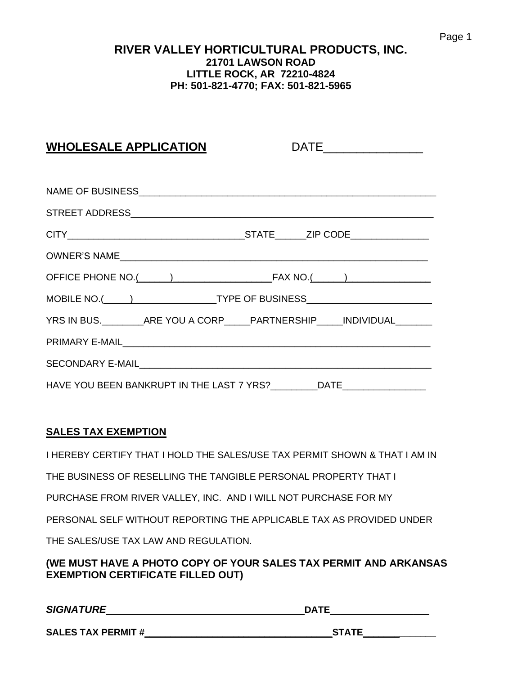#### **RIVER VALLEY HORTICULTURAL PRODUCTS, INC. 21701 LAWSON ROAD LITTLE ROCK, AR 72210-4824 PH: 501-821-4770; FAX: 501-821-5965**

## **WHOLESALE APPLICATION** DATE\_\_\_\_\_\_\_\_\_\_\_\_\_\_\_

| YRS IN BUS. _________ ARE YOU A CORP_____ PARTNERSHIP_____ INDIVIDUAL_______      |  |
|-----------------------------------------------------------------------------------|--|
|                                                                                   |  |
|                                                                                   |  |
| HAVE YOU BEEN BANKRUPT IN THE LAST 7 YRS? __________DATE_________________________ |  |

#### **SALES TAX EXEMPTION**

I HEREBY CERTIFY THAT I HOLD THE SALES/USE TAX PERMIT SHOWN & THAT I AM IN

THE BUSINESS OF RESELLING THE TANGIBLE PERSONAL PROPERTY THAT I

PURCHASE FROM RIVER VALLEY, INC. AND I WILL NOT PURCHASE FOR MY

PERSONAL SELF WITHOUT REPORTING THE APPLICABLE TAX AS PROVIDED UNDER

THE SALES/USE TAX LAW AND REGULATION.

**(WE MUST HAVE A PHOTO COPY OF YOUR SALES TAX PERMIT AND ARKANSAS EXEMPTION CERTIFICATE FILLED OUT)**

*SIGNATURE*\_\_\_\_\_\_\_\_\_\_\_\_\_\_\_\_\_\_\_\_\_\_\_\_\_\_\_\_\_\_\_\_\_\_\_\_\_\_**DATE**\_\_\_\_\_\_\_\_\_\_\_\_\_\_\_\_\_\_\_

**SALES TAX PERMIT #\_\_\_\_\_\_\_\_\_\_\_\_\_\_\_\_\_\_\_\_\_\_\_\_\_\_\_\_\_\_\_\_\_\_\_\_STATE\_\_\_\_\_\_\_\_\_\_\_\_\_\_**